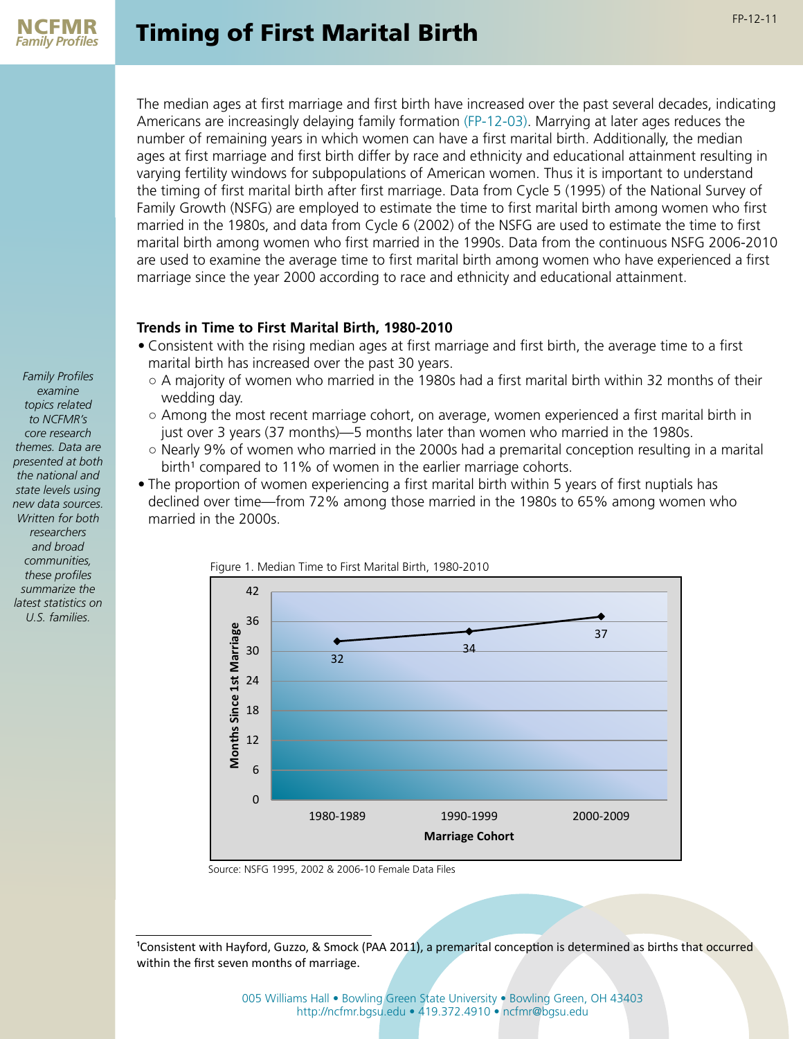

The median ages at first marriage and first birth have increased over the past several decades, indicating Americans are increasingly delaying family formation [\(FP-12-03\)](http://ncfmr.bgsu.edu/pdf/family_profiles/file107893.pdf). Marrying at later ages reduces the number of remaining years in which women can have a first marital birth. Additionally, the median ages at first marriage and first birth differ by race and ethnicity and educational attainment resulting in varying fertility windows for subpopulations of American women. Thus it is important to understand the timing of first marital birth after first marriage. Data from Cycle 5 (1995) of the National Survey of Family Growth (NSFG) are employed to estimate the time to first marital birth among women who first married in the 1980s, and data from Cycle 6 (2002) of the NSFG are used to estimate the time to first marital birth among women who first married in the 1990s. Data from the continuous NSFG 2006-2010 are used to examine the average time to first marital birth among women who have experienced a first marriage since the year 2000 according to race and ethnicity and educational attainment.

## **Trends in Time to First Marital Birth, 1980-2010**

- Consistent with the rising median ages at first marriage and first birth, the average time to a first marital birth has increased over the past 30 years.
	- $\circ$  A majority of women who married in the 1980s had a first marital birth within 32 months of their wedding day.
	- Among the most recent marriage cohort, on average, women experienced a first marital birth in just over 3 years (37 months)—5 months later than women who married in the 1980s.
	- Nearly 9% of women who married in the 2000s had a premarital conception resulting in a marital birth<sup>1</sup> compared to 11% of women in the earlier marriage cohorts.
- The proportion of women experiencing a first marital birth within 5 years of first nuptials has declined over time—from 72% among those married in the 1980s to 65% among women who married in the 2000s.



Figure 1. Median Time to First Marital Birth, 1980-2010

Source: NSFG 1995, 2002 & 2006-10 Female Data Files

<sup>1</sup>Consistent with Hayford, Guzzo, & Smock (PAA 2011), a premarital conception is determined as births that occurred within the first seven months of marriage.

FP-12-11

[005 Williams Hall • Bowling Green State University • Bowling Green, OH 43403](http://ncfmr.bgsu.edu/page80987.html) [http://ncfmr.bgsu.edu • 419.372.4910 • ncfmr@bgsu.edu](http://ncfmr.bgsu.edu/page80987.html)

*Family Profiles examine topics related to NCFMR's core research themes. Data are presented at both the national and state levels using new data sources. Written for both researchers and broad communities, these profiles summarize the latest statistics on U.S. families.*